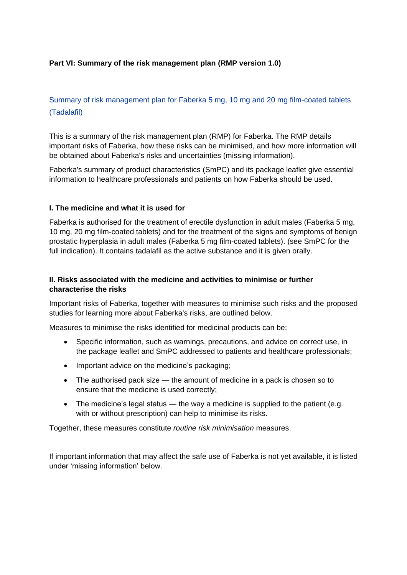### **Part VI: Summary of the risk management plan (RMP version 1.0)**

# Summary of risk management plan for Faberka 5 mg, 10 mg and 20 mg film-coated tablets (Tadalafil)

This is a summary of the risk management plan (RMP) for Faberka. The RMP details important risks of Faberka, how these risks can be minimised, and how more information will be obtained about Faberka's risks and uncertainties (missing information).

Faberka's summary of product characteristics (SmPC) and its package leaflet give essential information to healthcare professionals and patients on how Faberka should be used.

#### **I. The medicine and what it is used for**

Faberka is authorised for the treatment of erectile dysfunction in adult males (Faberka 5 mg, 10 mg, 20 mg film-coated tablets) and for the treatment of the signs and symptoms of benign prostatic hyperplasia in adult males (Faberka 5 mg film-coated tablets). (see SmPC for the full indication). It contains tadalafil as the active substance and it is given orally.

### **II. Risks associated with the medicine and activities to minimise or further characterise the risks**

Important risks of Faberka, together with measures to minimise such risks and the proposed studies for learning more about Faberka's risks, are outlined below.

Measures to minimise the risks identified for medicinal products can be:

- Specific information, such as warnings, precautions, and advice on correct use, in the package leaflet and SmPC addressed to patients and healthcare professionals;
- Important advice on the medicine's packaging:
- The authorised pack size the amount of medicine in a pack is chosen so to ensure that the medicine is used correctly;
- The medicine's legal status the way a medicine is supplied to the patient (e.g. with or without prescription) can help to minimise its risks.

Together, these measures constitute *routine risk minimisation* measures.

If important information that may affect the safe use of Faberka is not yet available, it is listed under 'missing information' below.